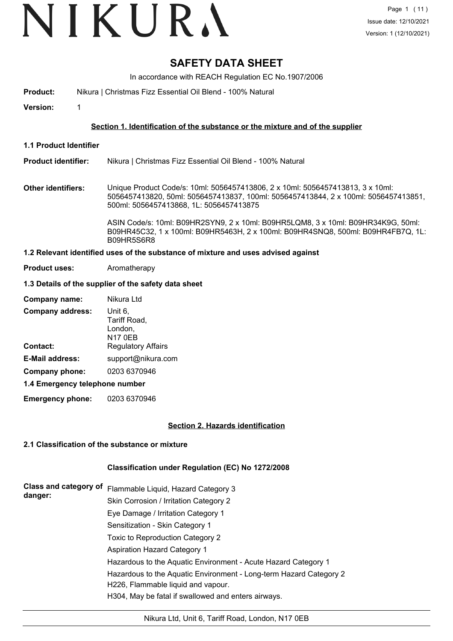# **SAFETY DATA SHEET**

In accordance with REACH Regulation EC No.1907/2006

**Product:** Nikura | Christmas Fizz Essential Oil Blend - 100% Natural

**Version:** 1

# **Section 1. Identification of the substance or the mixture and of the supplier**

**1.1 Product Identifier**

#### **Product identifier:** Nikura | Christmas Fizz Essential Oil Blend - 100% Natural

**Other identifiers:** Unique Product Code/s: 10ml: 5056457413806, 2 x 10ml: 5056457413813, 3 x 10ml: 5056457413820, 50ml: 5056457413837, 100ml: 5056457413844, 2 x 100ml: 5056457413851, 500ml: 5056457413868, 1L: 5056457413875

> ASIN Code/s: 10ml: B09HR2SYN9, 2 x 10ml: B09HR5LQM8, 3 x 10ml: B09HR34K9G, 50ml: B09HR45C32, 1 x 100ml: B09HR5463H, 2 x 100ml: B09HR4SNQ8, 500ml: B09HR4FB7Q, 1L: B09HR5S6R8

#### **1.2 Relevant identified uses of the substance of mixture and uses advised against**

**Product uses:** Aromatherapy

#### **1.3 Details of the supplier of the safety data sheet**

| Company name:           | Nikura Ltd                                           |
|-------------------------|------------------------------------------------------|
| <b>Company address:</b> | Unit 6,<br>Tariff Road,<br>London,<br><b>N17 0EB</b> |
| <b>Contact:</b>         | <b>Regulatory Affairs</b>                            |
| <b>E-Mail address:</b>  | support@nikura.com                                   |
| Company phone:          | 0203 6370946                                         |
|                         |                                                      |

#### **1.4 Emergency telephone number**

**Emergency phone:** 0203 6370946

# **Section 2. Hazards identification**

# **2.1 Classification of the substance or mixture**

# **Classification under Regulation (EC) No 1272/2008**

| Class and category of<br>danger: | Flammable Liquid, Hazard Category 3                                |
|----------------------------------|--------------------------------------------------------------------|
|                                  | Skin Corrosion / Irritation Category 2                             |
|                                  | Eye Damage / Irritation Category 1                                 |
|                                  | Sensitization - Skin Category 1                                    |
|                                  | Toxic to Reproduction Category 2                                   |
|                                  | <b>Aspiration Hazard Category 1</b>                                |
|                                  | Hazardous to the Aquatic Environment - Acute Hazard Category 1     |
|                                  | Hazardous to the Aquatic Environment - Long-term Hazard Category 2 |
|                                  | H226, Flammable liquid and vapour.                                 |
|                                  | H304, May be fatal if swallowed and enters airways.                |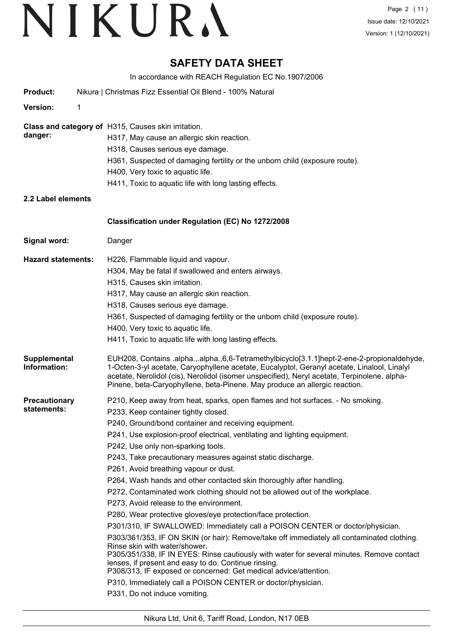# **SAFETY DATA SHEET**

In accordance with REACH Regulation EC No.1907/2006 **Product:** Nikura | Christmas Fizz Essential Oil Blend - 100% Natural **Version:** 1 **Class and category of** H315, Causes skin irritation. **danger:** H317, May cause an allergic skin reaction. H318, Causes serious eye damage. H361, Suspected of damaging fertility or the unborn child (exposure route). H400, Very toxic to aquatic life. H411, Toxic to aquatic life with long lasting effects. **2.2 Label elements Signal word:** Danger **Classification under Regulation (EC) No 1272/2008 Hazard statements:** H226, Flammable liquid and vapour. H304, May be fatal if swallowed and enters airways. H315, Causes skin irritation. H317, May cause an allergic skin reaction. H318, Causes serious eye damage. H361, Suspected of damaging fertility or the unborn child (exposure route). H400, Very toxic to aquatic life. H411, Toxic to aquatic life with long lasting effects. EUH208, Contains .alpha.,.alpha.,6,6-Tetramethylbicyclo[3.1.1]hept-2-ene-2-propionaldehyde, 1-Octen-3-yl acetate, Caryophyllene acetate, Eucalyptol, Geranyl acetate, Linalool, Linalyl acetate, Nerolidol (cis), Nerolidol (isomer unspecified), Neryl acetate, Terpinolene, alpha-Pinene, beta-Caryophyllene, beta-Pinene. May produce an allergic reaction. **Supplemental Information: Precautionary statements:** P210, Keep away from heat, sparks, open flames and hot surfaces. - No smoking. P233, Keep container tightly closed. P240, Ground/bond container and receiving equipment. P241, Use explosion-proof electrical, ventilating and lighting equipment. P242, Use only non-sparking tools. P243, Take precautionary measures against static discharge. P261, Avoid breathing vapour or dust. P264, Wash hands and other contacted skin thoroughly after handling. P272, Contaminated work clothing should not be allowed out of the workplace. P273, Avoid release to the environment. P280, Wear protective gloves/eye protection/face protection. P301/310, IF SWALLOWED: Immediately call a POISON CENTER or doctor/physician. P303/361/353, IF ON SKIN (or hair): Remove/take off immediately all contaminated clothing. Rinse skin with water/shower. P305/351/338, IF IN EYES: Rinse cautiously with water for several minutes. Remove contact lenses, if present and easy to do. Continue rinsing. P308/313, IF exposed or concerned: Get medical advice/attention. P310, Immediately call a POISON CENTER or doctor/physician. P331, Do not induce vomiting.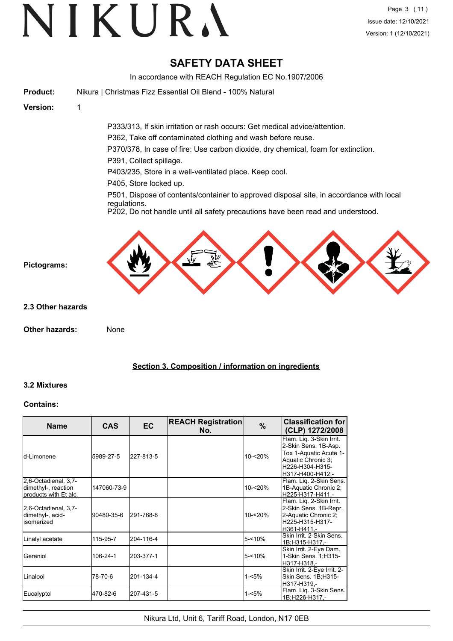# **SAFETY DATA SHEET**

In accordance with REACH Regulation EC No.1907/2006 **Product:** Nikura | Christmas Fizz Essential Oil Blend - 100% Natural **Version:** 1 P333/313, If skin irritation or rash occurs: Get medical advice/attention. P362, Take off contaminated clothing and wash before reuse. P370/378, In case of fire: Use carbon dioxide, dry chemical, foam for extinction. P391, Collect spillage. P403/235, Store in a well-ventilated place. Keep cool. P405, Store locked up. P501, Dispose of contents/container to approved disposal site, in accordance with local regulations. P202, Do not handle until all safety precautions have been read and understood. **Pictograms: Other hazards:** None **2.3 Other hazards**

# **Section 3. Composition / information on ingredients**

# **3.2 Mixtures**

# **Contains:**

| <b>Name</b>                                                          | <b>CAS</b>  | <b>EC</b> | <b>REACH Registration</b><br>No. | $\%$      | <b>Classification for</b><br>(CLP) 1272/2008                                                                                            |
|----------------------------------------------------------------------|-------------|-----------|----------------------------------|-----------|-----------------------------------------------------------------------------------------------------------------------------------------|
| ld-I imonene                                                         | 5989-27-5   | 227-813-5 |                                  | 10-<20%   | Flam. Liq. 3-Skin Irrit.<br>2-Skin Sens. 1B-Asp.<br>Tox 1-Aquatic Acute 1-<br>Aquatic Chronic 3;<br>H226-H304-H315-<br>H317-H400-H412.- |
| 2,6-Octadienal, 3,7-<br>dimethyl-, reaction<br>products with Et alc. | 147060-73-9 |           |                                  | 10-<20%   | Flam. Liq. 2-Skin Sens.<br>1B-Aquatic Chronic 2;<br>H225-H317-H411.-                                                                    |
| 2,6-Octadienal, 3,7-<br>dimethyl-, acid-<br>lisomerized              | 90480-35-6  | 291-768-8 |                                  | 10-<20%   | Flam. Liq. 2-Skin Irrit.<br>2-Skin Sens. 1B-Repr.<br>2-Aquatic Chronic 2;<br>H225-H315-H317-<br>lH361-H411.-                            |
| Linalyl acetate                                                      | 115-95-7    | 204-116-4 |                                  | 5-<10%    | Skin Irrit, 2-Skin Sens.<br>1B;H315-H317.-                                                                                              |
| <b>Geraniol</b>                                                      | 106-24-1    | 203-377-1 |                                  | $5 - 10%$ | Skin Irrit. 2-Eye Dam.<br>1-Skin Sens. 1;H315-<br>H317-H318.-                                                                           |
| <b>I</b> Linalool                                                    | 78-70-6     | 201-134-4 |                                  | $1 - 5%$  | Skin Irrit. 2-Eye Irrit. 2-<br>Skin Sens. 1B;H315-<br>H317-H319.-                                                                       |
| Eucalyptol                                                           | 470-82-6    | 207-431-5 |                                  | $1 - 5%$  | Flam. Lig. 3-Skin Sens.<br>1B;H226-H317,-                                                                                               |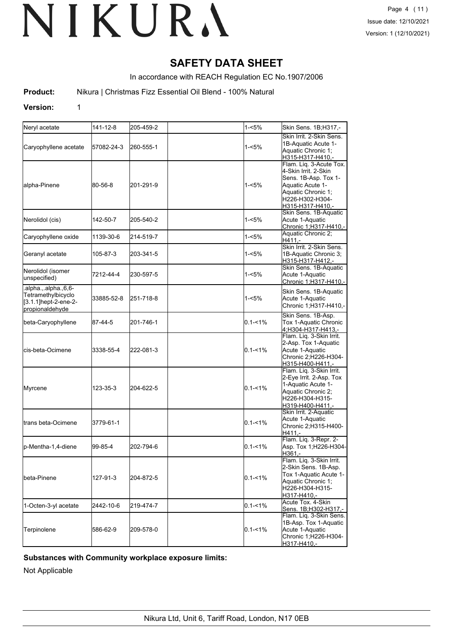# **SAFETY DATA SHEET**

In accordance with REACH Regulation EC No.1907/2006

**Product:** Nikura | Christmas Fizz Essential Oil Blend - 100% Natural

# **Version:** 1

| Neryl acetate                                                                          | 141-12-8   | 205-459-2 | 1-<5%       | Skin Sens. 1B;H317,-                                                                                                                                     |
|----------------------------------------------------------------------------------------|------------|-----------|-------------|----------------------------------------------------------------------------------------------------------------------------------------------------------|
| Caryophyllene acetate                                                                  | 57082-24-3 | 260-555-1 | 1-<5%       | Skin Irrit. 2-Skin Sens.<br>1B-Aquatic Acute 1-<br>Aquatic Chronic 1;<br>H315-H317-H410.-                                                                |
| alpha-Pinene                                                                           | 80-56-8    | 201-291-9 | 1-<5%       | Flam. Lig. 3-Acute Tox.<br>4-Skin Irrit, 2-Skin<br>Sens. 1B-Asp. Tox 1-<br>Aquatic Acute 1-<br>Aquatic Chronic 1;<br>H226-H302-H304-<br>H315-H317-H410.- |
| Nerolidol (cis)                                                                        | 142-50-7   | 205-540-2 | 1-<5%       | Skin Sens. 1B-Aquatic<br>Acute 1-Aquatic<br>Chronic 1;H317-H410,-                                                                                        |
| Caryophyllene oxide                                                                    | 1139-30-6  | 214-519-7 | 1-<5%       | Aquatic Chronic 2;<br>H411.                                                                                                                              |
| Geranyl acetate                                                                        | 105-87-3   | 203-341-5 | 1-<5%       | Skin Irrit. 2-Skin Sens.<br>1B-Aquatic Chronic 3;<br>H315-H317-H412,-                                                                                    |
| Nerolidol (isomer<br>unspecified)                                                      | 7212-44-4  | 230-597-5 | 1-<5%       | Skin Sens. 1B-Aquatic<br>Acute 1-Aquatic<br>Chronic 1:H317-H410 .-                                                                                       |
| .alpha.,.alpha.,6,6-<br>Tetramethylbicyclo<br>[3.1.1]hept-2-ene-2-<br>Ipropionaldehvde | 33885-52-8 | 251-718-8 | 1-<5%       | Skin Sens. 1B-Aquatic<br>Acute 1-Aquatic<br>Chronic 1; H317-H410,-                                                                                       |
| beta-Caryophyllene                                                                     | 87-44-5    | 201-746-1 | $0.1 - 1\%$ | Skin Sens. 1B-Asp.<br>Tox 1-Aquatic Chronic<br>4;H304-H317-H413,-                                                                                        |
| lcis-beta-Ocimene                                                                      | 3338-55-4  | 222-081-3 | $0.1 - 1\%$ | Flam. Lig. 3-Skin Irrit.<br>2-Asp. Tox 1-Aquatic<br>Acute 1-Aquatic<br>Chronic 2;H226-H304-<br>H315-H400-H411,-                                          |
| Myrcene                                                                                | 123-35-3   | 204-622-5 | $0.1 - 1\%$ | Flam. Liq. 3-Skin Irrit.<br>2-Eye Irrit. 2-Asp. Tox<br>1-Aquatic Acute 1-<br>Aquatic Chronic 2;<br>H226-H304-H315-<br>H319-H400-H411.-                   |
| ltrans beta-Ocimene                                                                    | 3779-61-1  |           | $0.1 - 1\%$ | Skin Irrit. 2-Aquatic<br>Acute 1-Aquatic<br>Chronic 2;H315-H400-<br>H411.-                                                                               |
| p-Mentha-1,4-diene                                                                     | 99-85-4    | 202-794-6 | $0.1 - 1\%$ | Flam. Liq. 3-Repr. 2-<br>Asp. Tox 1;H226-H304-<br>H361,-                                                                                                 |
| beta-Pinene                                                                            | 127-91-3   | 204-872-5 | $0.1 - 1\%$ | Flam. Liq. 3-Skin Irrit.<br>2-Skin Sens. 1B-Asp.<br>Tox 1-Aquatic Acute 1-<br>Aquatic Chronic 1;<br>H226-H304-H315-<br>H317-H410,-                       |
| 1-Octen-3-yl acetate                                                                   | 2442-10-6  | 219-474-7 | $0.1 - 1\%$ | Acute Tox. 4-Skin<br>Sens. 1B:H302-H317.-                                                                                                                |
| Terpinolene                                                                            | 586-62-9   | 209-578-0 | 0.1-<1%     | Flam. Liq. 3-Skin Sens.<br>1B-Asp. Tox 1-Aquatic<br>Acute 1-Aquatic<br>Chronic 1;H226-H304-<br>H317-H410,-                                               |

# **Substances with Community workplace exposure limits:**

Not Applicable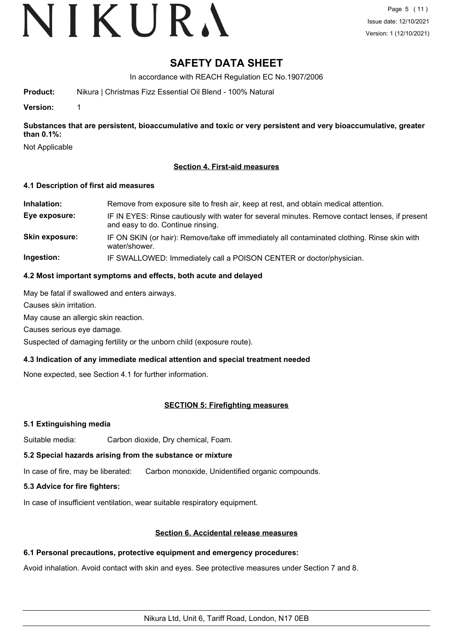# **SAFETY DATA SHEET**

In accordance with REACH Regulation EC No.1907/2006

**Product:** Nikura | Christmas Fizz Essential Oil Blend - 100% Natural

**Version:** 1

**Substances that are persistent, bioaccumulative and toxic or very persistent and very bioaccumulative, greater than 0.1%:**

Not Applicable

# **Section 4. First-aid measures**

# **4.1 Description of first aid measures**

**Inhalation:** Remove from exposure site to fresh air, keep at rest, and obtain medical attention. **Eye exposure:** IF IN EYES: Rinse cautiously with water for several minutes. Remove contact lenses, if present and easy to do. Continue rinsing. **Skin exposure:** IF ON SKIN (or hair): Remove/take off immediately all contaminated clothing. Rinse skin with water/shower. **Ingestion:** IF SWALLOWED: Immediately call a POISON CENTER or doctor/physician.

# **4.2 Most important symptoms and effects, both acute and delayed**

May be fatal if swallowed and enters airways.

Causes skin irritation.

May cause an allergic skin reaction.

Causes serious eye damage.

Suspected of damaging fertility or the unborn child (exposure route).

# **4.3 Indication of any immediate medical attention and special treatment needed**

None expected, see Section 4.1 for further information.

# **SECTION 5: Firefighting measures**

# **5.1 Extinguishing media**

Suitable media: Carbon dioxide, Dry chemical, Foam.

# **5.2 Special hazards arising from the substance or mixture**

In case of fire, may be liberated: Carbon monoxide, Unidentified organic compounds.

# **5.3 Advice for fire fighters:**

In case of insufficient ventilation, wear suitable respiratory equipment.

# **Section 6. Accidental release measures**

# **6.1 Personal precautions, protective equipment and emergency procedures:**

Avoid inhalation. Avoid contact with skin and eyes. See protective measures under Section 7 and 8.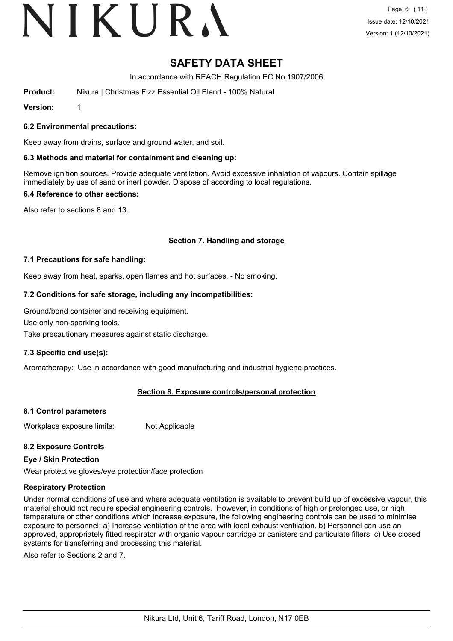# **SAFETY DATA SHEET**

In accordance with REACH Regulation EC No.1907/2006

**Product:** Nikura | Christmas Fizz Essential Oil Blend - 100% Natural

**Version:** 1

# **6.2 Environmental precautions:**

Keep away from drains, surface and ground water, and soil.

# **6.3 Methods and material for containment and cleaning up:**

Remove ignition sources. Provide adequate ventilation. Avoid excessive inhalation of vapours. Contain spillage immediately by use of sand or inert powder. Dispose of according to local regulations.

# **6.4 Reference to other sections:**

Also refer to sections 8 and 13.

# **Section 7. Handling and storage**

# **7.1 Precautions for safe handling:**

Keep away from heat, sparks, open flames and hot surfaces. - No smoking.

# **7.2 Conditions for safe storage, including any incompatibilities:**

Ground/bond container and receiving equipment.

Use only non-sparking tools.

Take precautionary measures against static discharge.

# **7.3 Specific end use(s):**

Aromatherapy: Use in accordance with good manufacturing and industrial hygiene practices.

# **Section 8. Exposure controls/personal protection**

# **8.1 Control parameters**

Workplace exposure limits: Not Applicable

# **8.2 Exposure Controls**

# **Eye / Skin Protection**

Wear protective gloves/eye protection/face protection

# **Respiratory Protection**

Under normal conditions of use and where adequate ventilation is available to prevent build up of excessive vapour, this material should not require special engineering controls. However, in conditions of high or prolonged use, or high temperature or other conditions which increase exposure, the following engineering controls can be used to minimise exposure to personnel: a) Increase ventilation of the area with local exhaust ventilation. b) Personnel can use an approved, appropriately fitted respirator with organic vapour cartridge or canisters and particulate filters. c) Use closed systems for transferring and processing this material.

Also refer to Sections 2 and 7.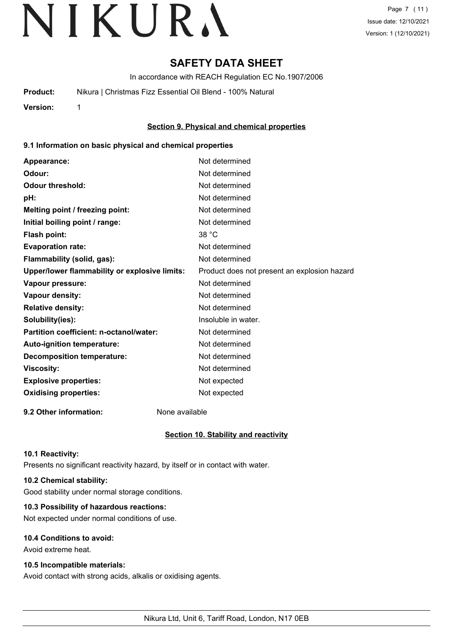# **SAFETY DATA SHEET**

In accordance with REACH Regulation EC No.1907/2006

**Product:** Nikura | Christmas Fizz Essential Oil Blend - 100% Natural

**Version:** 1

# **Section 9. Physical and chemical properties**

# **9.1 Information on basic physical and chemical properties**

| Appearance:                                   | Not determined                               |
|-----------------------------------------------|----------------------------------------------|
| Odour:                                        | Not determined                               |
| <b>Odour threshold:</b>                       | Not determined                               |
| pH:                                           | Not determined                               |
| Melting point / freezing point:               | Not determined                               |
| Initial boiling point / range:                | Not determined                               |
| Flash point:                                  | 38 °C                                        |
| <b>Evaporation rate:</b>                      | Not determined                               |
| Flammability (solid, gas):                    | Not determined                               |
| Upper/lower flammability or explosive limits: | Product does not present an explosion hazard |
| Vapour pressure:                              | Not determined                               |
| <b>Vapour density:</b>                        | Not determined                               |
| <b>Relative density:</b>                      | Not determined                               |
| Solubility(ies):                              | Insoluble in water.                          |
| Partition coefficient: n-octanol/water:       | Not determined                               |
| Auto-ignition temperature:                    | Not determined                               |
| <b>Decomposition temperature:</b>             | Not determined                               |
| <b>Viscosity:</b>                             | Not determined                               |
| <b>Explosive properties:</b>                  | Not expected                                 |
| <b>Oxidising properties:</b>                  | Not expected                                 |
|                                               |                                              |

**9.2 Other information:** None available

# **Section 10. Stability and reactivity**

# **10.1 Reactivity:**

Presents no significant reactivity hazard, by itself or in contact with water.

# **10.2 Chemical stability:**

Good stability under normal storage conditions.

# **10.3 Possibility of hazardous reactions:**

Not expected under normal conditions of use.

# **10.4 Conditions to avoid:**

Avoid extreme heat.

# **10.5 Incompatible materials:**

Avoid contact with strong acids, alkalis or oxidising agents.

Nikura Ltd, Unit 6, Tariff Road, London, N17 0EB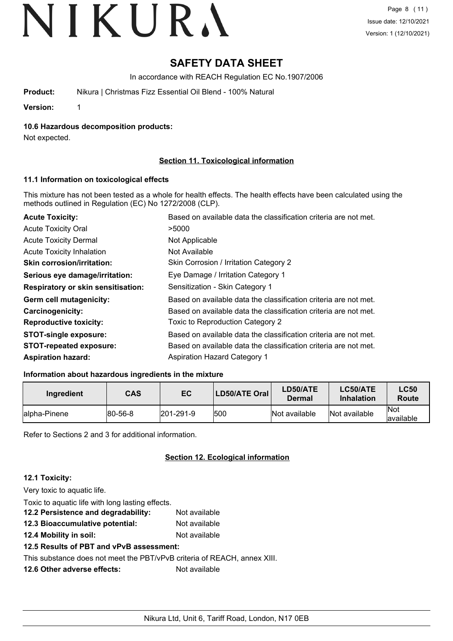# **SAFETY DATA SHEET**

In accordance with REACH Regulation EC No.1907/2006

**Product:** Nikura | Christmas Fizz Essential Oil Blend - 100% Natural

**Version:** 1

**10.6 Hazardous decomposition products:**

Not expected.

# **Section 11. Toxicological information**

# **11.1 Information on toxicological effects**

This mixture has not been tested as a whole for health effects. The health effects have been calculated using the methods outlined in Regulation (EC) No 1272/2008 (CLP).

| <b>Acute Toxicity:</b>                    | Based on available data the classification criteria are not met. |
|-------------------------------------------|------------------------------------------------------------------|
| <b>Acute Toxicity Oral</b>                | >5000                                                            |
| <b>Acute Toxicity Dermal</b>              | Not Applicable                                                   |
| <b>Acute Toxicity Inhalation</b>          | Not Available                                                    |
| <b>Skin corrosion/irritation:</b>         | Skin Corrosion / Irritation Category 2                           |
| Serious eye damage/irritation:            | Eye Damage / Irritation Category 1                               |
| <b>Respiratory or skin sensitisation:</b> | Sensitization - Skin Category 1                                  |
| Germ cell mutagenicity:                   | Based on available data the classification criteria are not met. |
| <b>Carcinogenicity:</b>                   | Based on available data the classification criteria are not met. |
| <b>Reproductive toxicity:</b>             | Toxic to Reproduction Category 2                                 |
| <b>STOT-single exposure:</b>              | Based on available data the classification criteria are not met. |
| <b>STOT-repeated exposure:</b>            | Based on available data the classification criteria are not met. |
| <b>Aspiration hazard:</b>                 | <b>Aspiration Hazard Category 1</b>                              |

# **Information about hazardous ingredients in the mixture**

| Ingredient    | <b>CAS</b> | EC                | LD50/ATE Oral | LD50/ATE<br>Dermal | <b>LC50/ATE</b><br><b>Inhalation</b> | <b>LC50</b><br>Route |
|---------------|------------|-------------------|---------------|--------------------|--------------------------------------|----------------------|
| lalpha-Pinene | 80-56-8    | $ 201 - 291 - 9 $ | 500           | Not available      | Not available                        | Not<br>lavailable    |

Refer to Sections 2 and 3 for additional information.

# **Section 12. Ecological information**

# **12.1 Toxicity:**

Very toxic to aquatic life. Toxic to aquatic life with long lasting effects. **12.2 Persistence and degradability:** Not available **12.3 Bioaccumulative potential:** Not available **12.4 Mobility in soil:** Not available **12.5 Results of PBT and vPvB assessment:** This substance does not meet the PBT/vPvB criteria of REACH, annex XIII. **12.6 Other adverse effects:** Not available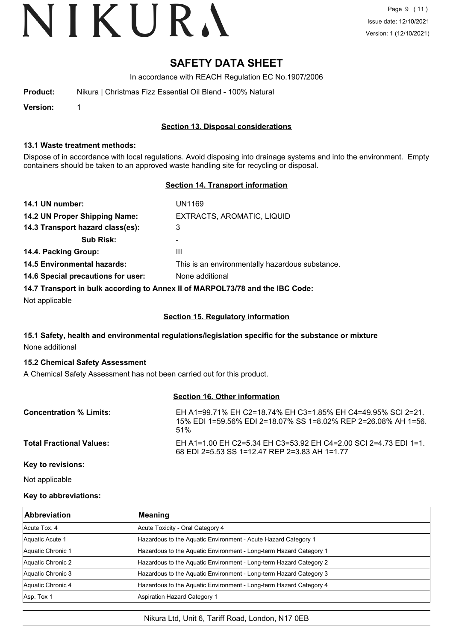# **SAFETY DATA SHEET**

In accordance with REACH Regulation EC No.1907/2006

| Product: | Nikura   Christmas Fizz Essential Oil Blend - 100% Natural |
|----------|------------------------------------------------------------|
|          |                                                            |

**Version:** 1

# **Section 13. Disposal considerations**

#### **13.1 Waste treatment methods:**

Dispose of in accordance with local regulations. Avoid disposing into drainage systems and into the environment. Empty containers should be taken to an approved waste handling site for recycling or disposal.

# **Section 14. Transport information**

| 14.1 UN number:                    | UN1169                                                                        |
|------------------------------------|-------------------------------------------------------------------------------|
| 14.2 UN Proper Shipping Name:      | EXTRACTS, AROMATIC, LIQUID                                                    |
| 14.3 Transport hazard class(es):   | 3                                                                             |
| <b>Sub Risk:</b>                   | -                                                                             |
| 14.4. Packing Group:               | Ш                                                                             |
| <b>14.5 Environmental hazards:</b> | This is an environmentally hazardous substance.                               |
| 14.6 Special precautions for user: | None additional                                                               |
|                                    | 14.7 Transport in bulk according to Annex II of MARPOL73/78 and the IBC Code: |

Not applicable

# **Section 15. Regulatory information**

# **15.1 Safety, health and environmental regulations/legislation specific for the substance or mixture** None additional

# **15.2 Chemical Safety Assessment**

A Chemical Safety Assessment has not been carried out for this product.

#### **Section 16. Other information**

| <b>Concentration % Limits:</b>  | EH A1=99.71% EH C2=18.74% EH C3=1.85% EH C4=49.95% SCL 2=21.<br>15% EDI 1=59.56% EDI 2=18.07% SS 1=8.02% REP 2=26.08% AH 1=56.<br>$.51\%$ |
|---------------------------------|-------------------------------------------------------------------------------------------------------------------------------------------|
| <b>Total Fractional Values:</b> | EH A1=1.00 EH C2=5.34 EH C3=53.92 EH C4=2.00 SCL 2=4.73 EDL 1=1.<br>68 EDI 2=5.53 SS 1=12.47 REP 2=3.83 AH 1=1.77                         |

**Key to revisions:**

Not applicable

# **Key to abbreviations:**

| <b>Abbreviation</b> | <b>Meaning</b>                                                     |
|---------------------|--------------------------------------------------------------------|
| Acute Tox, 4        | Acute Toxicity - Oral Category 4                                   |
| Aquatic Acute 1     | Hazardous to the Aquatic Environment - Acute Hazard Category 1     |
| Aquatic Chronic 1   | Hazardous to the Aquatic Environment - Long-term Hazard Category 1 |
| Aquatic Chronic 2   | Hazardous to the Aquatic Environment - Long-term Hazard Category 2 |
| Aquatic Chronic 3   | Hazardous to the Aquatic Environment - Long-term Hazard Category 3 |
| Aquatic Chronic 4   | Hazardous to the Aquatic Environment - Long-term Hazard Category 4 |
| Asp. Tox 1          | Aspiration Hazard Category 1                                       |

# Nikura Ltd, Unit 6, Tariff Road, London, N17 0EB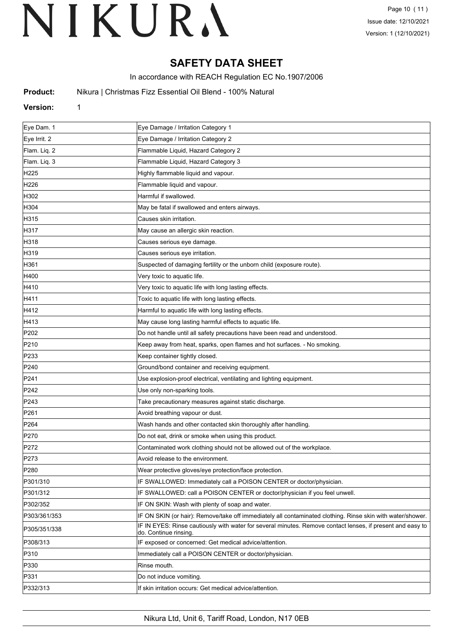# **SAFETY DATA SHEET**

In accordance with REACH Regulation EC No.1907/2006

**Product:** Nikura | Christmas Fizz Essential Oil Blend - 100% Natural

# **Version:** 1

| Eye Dam. 1       | Eye Damage / Irritation Category 1                                                                                                  |
|------------------|-------------------------------------------------------------------------------------------------------------------------------------|
| Eye Irrit. 2     | Eye Damage / Irritation Category 2                                                                                                  |
| Flam. Liq. 2     | Flammable Liquid, Hazard Category 2                                                                                                 |
| Flam. Liq. 3     | Flammable Liquid, Hazard Category 3                                                                                                 |
| H <sub>225</sub> | Highly flammable liquid and vapour.                                                                                                 |
| H226             | Flammable liquid and vapour.                                                                                                        |
| H302             | Harmful if swallowed.                                                                                                               |
| H304             | May be fatal if swallowed and enters airways.                                                                                       |
| H315             | Causes skin irritation.                                                                                                             |
| H317             | May cause an allergic skin reaction.                                                                                                |
| H318             | Causes serious eye damage.                                                                                                          |
| H319             | Causes serious eye irritation.                                                                                                      |
| H361             | Suspected of damaging fertility or the unborn child (exposure route).                                                               |
| H400             | Very toxic to aquatic life.                                                                                                         |
| H410             | Very toxic to aquatic life with long lasting effects.                                                                               |
| H411             | Toxic to aquatic life with long lasting effects.                                                                                    |
| H412             | Harmful to aquatic life with long lasting effects.                                                                                  |
| H413             | May cause long lasting harmful effects to aquatic life.                                                                             |
| P202             | Do not handle until all safety precautions have been read and understood.                                                           |
| P210             | Keep away from heat, sparks, open flames and hot surfaces. - No smoking.                                                            |
| P233             | Keep container tightly closed.                                                                                                      |
| P240             | Ground/bond container and receiving equipment.                                                                                      |
| P <sub>241</sub> | Use explosion-proof electrical, ventilating and lighting equipment.                                                                 |
| P242             | Use only non-sparking tools.                                                                                                        |
| P243             | Take precautionary measures against static discharge.                                                                               |
| P261             | Avoid breathing vapour or dust.                                                                                                     |
| P264             | Wash hands and other contacted skin thoroughly after handling.                                                                      |
| P270             | Do not eat, drink or smoke when using this product.                                                                                 |
| P272             | Contaminated work clothing should not be allowed out of the workplace.                                                              |
| P273             | Avoid release to the environment.                                                                                                   |
| P <sub>280</sub> | Wear protective gloves/eye protection/face protection.                                                                              |
| P301/310         | IF SWALLOWED: Immediately call a POISON CENTER or doctor/physician.                                                                 |
| P301/312         | IF SWALLOWED: call a POISON CENTER or doctor/physician if you feel unwell.                                                          |
| P302/352         | IF ON SKIN: Wash with plenty of soap and water.                                                                                     |
| P303/361/353     | IF ON SKIN (or hair): Remove/take off immediately all contaminated clothing. Rinse skin with water/shower.                          |
| P305/351/338     | IF IN EYES: Rinse cautiously with water for several minutes. Remove contact lenses, if present and easy to<br>do. Continue rinsing. |
| P308/313         | IF exposed or concerned: Get medical advice/attention.                                                                              |
| P310             | Immediately call a POISON CENTER or doctor/physician.                                                                               |
| P330             | Rinse mouth.                                                                                                                        |
| P331             | Do not induce vomiting.                                                                                                             |
| P332/313         | If skin irritation occurs: Get medical advice/attention.                                                                            |